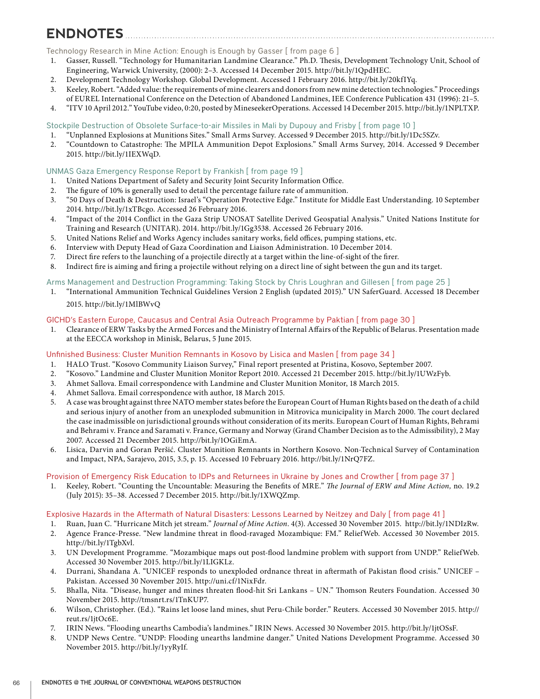# **ENDNOTES**

Technology Research in Mine Action: Enough is Enough by Gasser [ from page 6 ]

- 1. Gasser, Russell. "Technology for Humanitarian Landmine Clearance." Ph.D. Thesis, Development Technology Unit, School of Engineering, Warwick University, (2000): 2–3. Accessed 14 December 2015. http://bit.ly/1QpdHEC.
- 2. Development Technology Workshop. Global Development. Accessed 1 February 2016. http://bit.ly/20kfIYq.
- 3. Keeley, Robert. "Added value: the requirements of mine clearers and donors from new mine detection technologies." Proceedings of EUREL International Conference on the Detection of Abandoned Landmines, IEE Conference Publication 431 (1996): 21–5.
- 4. "ITV 10 April 2012." YouTube video, 0:20, posted by MineseekerOperations. Accessed 14 December 2015. http://bit.ly/1NPLTXP.

## Stockpile Destruction of Obsolete Surface-to-air Missiles in Mali by Dupouy and Frisby [ from page 10 ]

- 1. "Unplanned Explosions at Munitions Sites." Small Arms Survey. Accessed 9 December 2015. http://bit.ly/1Dc5SZv.
- 2. "Countdown to Catastrophe: The MPILA Ammunition Depot Explosions." Small Arms Survey, 2014. Accessed 9 December 2015. http://bit.ly/1IEXWqD.

# UNMAS Gaza Emergency Response Report by Frankish [ from page 19 ]

- 1. United Nations Department of Safety and Security Joint Security Information Office.
- 2. The figure of 10% is generally used to detail the percentage failure rate of ammunition.
- 3. "50 Days of Death & Destruction: Israel's "Operation Protective Edge." Institute for Middle East Understanding. 10 September 2014. http://bit.ly/1xTBcgo. Accessed 26 February 2016.
- 4. "Impact of the 2014 Conflict in the Gaza Strip UNOSAT Satellite Derived Geospatial Analysis." United Nations Institute for Training and Research (UNITAR). 2014. http://bit.ly/1Gg3538. Accessed 26 February 2016.
- 5. United Nations Relief and Works Agency includes sanitary works, field offices, pumping stations, etc.
- 6. Interview with Deputy Head of Gaza Coordination and Liaison Administration. 10 December 2014.
- 7. Direct fire refers to the launching of a projectile directly at a target within the line-of-sight of the firer.
- 8. Indirect fire is aiming and firing a projectile without relying on a direct line of sight between the gun and its target.

# Arms Management and Destruction Programming: Taking Stock by Chris Loughran and Gillesen [ from page 25 ]

1. "International Ammunition Technical Guidelines Version 2 English (updated 2015)." UN SaferGuard. Accessed 18 December 2015. http://bit.ly/1MlBWvQ

## GICHD's Eastern Europe, Caucasus and Central Asia Outreach Programme by Paktian [ from page 30 ]

1. Clearance of ERW Tasks by the Armed Forces and the Ministry of Internal Affairs of the Republic of Belarus. Presentation made at the EECCA workshop in Minisk, Belarus, 5 June 2015.

#### Unfinished Business: Cluster Munition Remnants in Kosovo by Lisica and Maslen [ from page 34 ]

- 1. HALO Trust. "Kosovo Community Liaison Survey," Final report presented at Pristina, Kosovo, September 2007.
- 2. "Kosovo." Landmine and Cluster Munition Monitor Report 2010. Accessed 21 December 2015. http://bit.ly/1UWzFyb.
- 3. Ahmet Sallova. Email correspondence with Landmine and Cluster Munition Monitor, 18 March 2015.
- 4. Ahmet Sallova. Email correspondence with author, 18 March 2015.
- 5. A case was brought against three NATO member states before the European Court of Human Rights based on the death of a child and serious injury of another from an unexploded submunition in Mitrovica municipality in March 2000. The court declared the case inadmissible on jurisdictional grounds without consideration of its merits. European Court of Human Rights, Behrami and Behrami v. France and Saramati v. France, Germany and Norway (Grand Chamber Decision as to the Admissibility), 2 May 2007. Accessed 21 December 2015. http://bit.ly/1OGiEmA.
- 6. Lisica, Darvin and Goran Peršić. Cluster Munition Remnants in Northern Kosovo. Non-Technical Survey of Contamination and Impact, NPA, Sarajevo, 2015, 3.5, p. 15. Accessed 10 February 2016. http://bit.ly/1NrQ7FZ.

#### Provision of Emergency Risk Education to IDPs and Returnees in Ukraine by Jones and Crowther [ from page 37 ]

1. Keeley, Robert. "Counting the Uncountable: Measuring the Benefits of MRE." *The Journal of ERW and Mine Action,* no. 19.2 (July 2015): 35–38. Accessed 7 December 2015. http://bit.ly/1XWQZmp.

#### Explosive Hazards in the Aftermath of Natural Disasters: Lessons Learned by Neitzey and Daly [ from page 41 ]

- 1. Ruan, Juan C. "Hurricane Mitch jet stream." *Journal of Mine Action*. 4(3). Accessed 30 November 2015. http://bit.ly/1NDIzRw.
- 2. Agence France-Presse. "New landmine threat in flood-ravaged Mozambique: FM." ReliefWeb. Accessed 30 November 2015. http://bit.ly/1TgbXvl.
- 3. UN Development Programme. "Mozambique maps out post-flood landmine problem with support from UNDP." ReliefWeb. Accessed 30 November 2015. http://bit.ly/1LIGKLz.
- 4. Durrani, Shandana A. "UNICEF responds to unexploded ordnance threat in aftermath of Pakistan flood crisis." UNICEF Pakistan. Accessed 30 November 2015. http://uni.cf/1NixFdr.
- 5. Bhalla, Nita. "Disease, hunger and mines threaten flood-hit Sri Lankans UN." Thomson Reuters Foundation. Accessed 30 November 2015. http://tmsnrt.rs/1TnKUP7.
- 6. Wilson, Christopher. (Ed.). "Rains let loose land mines, shut Peru-Chile border." Reuters. Accessed 30 November 2015. http:// reut.rs/1jtOc6E.
- 7. IRIN News. "Flooding unearths Cambodia's landmines." IRIN News. Accessed 30 November 2015. http://bit.ly/1jtOSsF.
- 8. UNDP News Centre. "UNDP: Flooding unearths landmine danger." United Nations Development Programme. Accessed 30 November 2015. http://bit.ly/1yyRyIf.